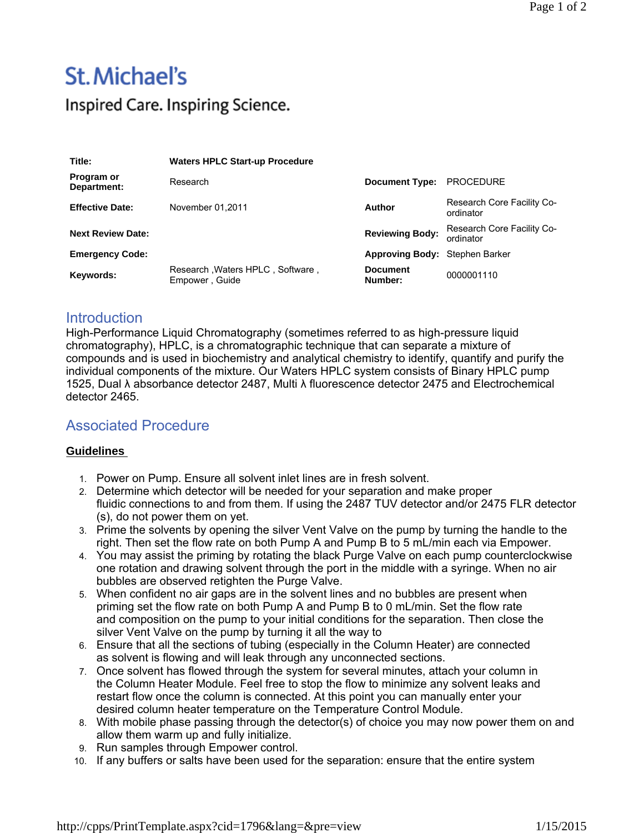## St. Michael's

Inspired Care. Inspiring Science.

| Title:                    | <b>Waters HPLC Start-up Procedure</b>              |                                |                                         |
|---------------------------|----------------------------------------------------|--------------------------------|-----------------------------------------|
| Program or<br>Department: | Research                                           | <b>Document Type:</b>          | <b>PROCEDURE</b>                        |
| <b>Effective Date:</b>    | November 01.2011                                   | Author                         | Research Core Facility Co-<br>ordinator |
| <b>Next Review Date:</b>  |                                                    | <b>Reviewing Body:</b>         | Research Core Facility Co-<br>ordinator |
| <b>Emergency Code:</b>    |                                                    | Approving Body: Stephen Barker |                                         |
| Keywords:                 | Research, Waters HPLC, Software,<br>Empower, Guide | <b>Document</b><br>Number:     | 0000001110                              |

## **Introduction**

High-Performance Liquid Chromatography (sometimes referred to as high-pressure liquid chromatography), HPLC, is a chromatographic technique that can separate a mixture of compounds and is used in biochemistry and analytical chemistry to identify, quantify and purify the individual components of the mixture. Our Waters HPLC system consists of Binary HPLC pump 1525, Dual λ absorbance detector 2487, Multi λ fluorescence detector 2475 and Electrochemical detector 2465.

## Associated Procedure

## **Guidelines**

- 1. Power on Pump. Ensure all solvent inlet lines are in fresh solvent.
- 2. Determine which detector will be needed for your separation and make proper fluidic connections to and from them. If using the 2487 TUV detector and/or 2475 FLR detector (s), do not power them on yet.
- 3. Prime the solvents by opening the silver Vent Valve on the pump by turning the handle to the right. Then set the flow rate on both Pump A and Pump B to 5 mL/min each via Empower.
- 4. You may assist the priming by rotating the black Purge Valve on each pump counterclockwise one rotation and drawing solvent through the port in the middle with a syringe. When no air bubbles are observed retighten the Purge Valve.
- 5. When confident no air gaps are in the solvent lines and no bubbles are present when priming set the flow rate on both Pump A and Pump B to 0 mL/min. Set the flow rate and composition on the pump to your initial conditions for the separation. Then close the silver Vent Valve on the pump by turning it all the way to
- 6. Ensure that all the sections of tubing (especially in the Column Heater) are connected as solvent is flowing and will leak through any unconnected sections.
- 7. Once solvent has flowed through the system for several minutes, attach your column in the Column Heater Module. Feel free to stop the flow to minimize any solvent leaks and restart flow once the column is connected. At this point you can manually enter your desired column heater temperature on the Temperature Control Module.
- 8. With mobile phase passing through the detector(s) of choice you may now power them on and allow them warm up and fully initialize.
- 9. Run samples through Empower control.
- 10. If any buffers or salts have been used for the separation: ensure that the entire system